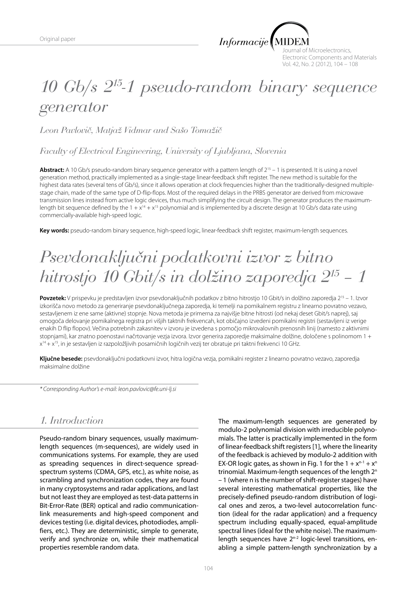

Journal of Microelectronics, Electronic Components and Materials Vol. 42, No. 2 (2012), 104 – 108

# *10 Gb/s 215-1 pseudo-random binary sequence generator*

*Leon Pavlovič, Matjaž Vidmar and Sašo Tomažič*

*Faculty of Electrical Engineering, University of Ljubljana, Slovenia*

Abstract: A 10 Gb/s pseudo-random binary sequence generator with a pattern length of 2<sup>15</sup> – 1 is presented. It is using a novel generation method, practically implemented as a single-stage linear-feedback shift register. The new method is suitable for the highest data rates (several tens of Gb/s), since it allows operation at clock frequencies higher than the traditionally-designed multiplestage chain, made of the same type of D-flip-flops. Most of the required delays in the PRBS generator are derived from microwave transmission lines instead from active logic devices, thus much simplifying the circuit design. The generator produces the maximumlength bit sequence defined by the  $1 + x^{14} + x^{15}$  polynomial and is implemented by a discrete design at 10 Gb/s data rate using commercially-available high-speed logic.

**Key words:** pseudo-random binary sequence, high-speed logic, linear-feedback shift register, maximum-length sequences.

# *Psevdonaključni podatkovni izvor z bitno hitrostjo 10 Gbit/s in dolžino zaporedja 215 – 1*

**Povzetek:** V prispevku je predstavljen izvor psevdonaključnih podatkov z bitno hitrostjo 10 Gbit/s in dolžino zaporedja 215 – 1. Izvor izkorišča novo metodo za generiranje psevdonaključnega zaporedja, ki temelji na pomikalnem registru z linearno povratno vezavo, sestavljenem iz ene same (aktivne) stopnje. Nova metoda je primerna za najvišje bitne hitrosti (od nekaj deset Gbit/s naprej), saj omogoča delovanje pomikalnega registra pri višjih taktnih frekvencah, kot običajno izvedeni pomikalni registri (sestavljeni iz verige enakih D flip flopov). Večina potrebnih zakasnitev v izvoru je izvedena s pomočjo mikrovalovnih prenosnih linij (namesto z aktivnimi stopnjami), kar znatno poenostavi načrtovanje vezja izvora. Izvor generira zaporedje maksimalne dolžine, določene s polinomom 1 + x14 + x15, in je sestavljen iz razpoložljivih posamičnih logičnih vezij ter obratuje pri taktni frekvenci 10 GHz.

**Ključne besede:** psevdonaključni podatkovni izvor, hitra logična vezja, pomikalni register z linearno povratno vezavo, zaporedja maksimalne dolžine

*\* Corresponding Author's e-mail: leon.pavlovic@fe.uni-lj.si*

## *1. Introduction*

Pseudo-random binary sequences, usually maximumlength sequences (m-sequences), are widely used in communications systems. For example, they are used as spreading sequences in direct-sequence spreadspectrum systems (CDMA, GPS, etc.), as white noise, as scrambling and synchronization codes, they are found in many cryptosystems and radar applications, and last but not least they are employed as test-data patterns in Bit-Error-Rate (BER) optical and radio communicationlink measurements and high-speed component and devices testing (i.e. digital devices, photodiodes, amplifiers, etc.). They are deterministic, simple to generate, verify and synchronize on, while their mathematical properties resemble random data.

The maximum-length sequences are generated by modulo-2 polynomial division with irreducible polynomials. The latter is practically implemented in the form of linear-feedback shift registers [1], where the linearity of the feedback is achieved by modulo-2 addition with EX-OR logic gates, as shown in Fig. 1 for the  $1 + x^{n-1} + x^n$ trinomial. Maximum-length sequences of the length 2n – 1 (where n is the number of shift-register stages) have several interesting mathematical properties, like the precisely-defined pseudo-random distribution of logical ones and zeros, a two-level autocorrelation function (ideal for the radar application) and a frequency spectrum including equally-spaced, equal-amplitude spectral lines (ideal for the white noise). The maximumlength sequences have 2<sup>n-2</sup> logic-level transitions, enabling a simple pattern-length synchronization by a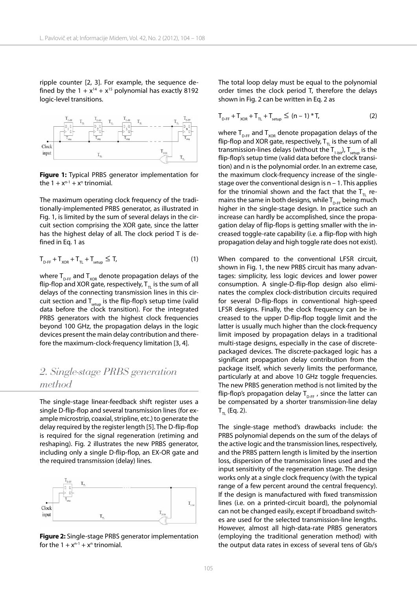ripple counter [2, 3]. For example, the sequence defined by the  $1 + x^{14} + x^{15}$  polynomial has exactly 8192 logic-level transitions.



**Figure 1:** Typical PRBS generator implementation for the  $1 + x^{n-1} + x^n$  trinomial.

The maximum operating clock frequency of the traditionally-implemented PRBS generator, as illustrated in Fig. 1, is limited by the sum of several delays in the circuit section comprising the XOR gate, since the latter has the highest delay of all. The clock period T is defined in Eq. 1 as

$$
T_{\text{D-FF}} + T_{\text{XOR}} + T_{\text{TL}} + T_{\text{setup}} \leq T,\tag{1}
$$

where  $T_{\text{D-FF}}$  and  $T_{\text{XOR}}$  denote propagation delays of the flip-flop and XOR gate, respectively,  $T_{\pi}$  is the sum of all delays of the connecting transmission lines in this circuit section and  $T_{\text{setup}}$  is the flip-flop's setup time (valid data before the clock transition). For the integrated PRBS generators with the highest clock frequencies beyond 100 GHz, the propagation delays in the logic devices present the main delay contribution and therefore the maximum-clock-frequency limitation [3, 4].

### *2. Single-stage PRBS generation method*

The single-stage linear-feedback shift register uses a single D-flip-flop and several transmission lines (for example microstrip, coaxial, stripline, etc.) to generate the delay required by the register length [5]. The D-flip-flop is required for the signal regeneration (retiming and reshaping). Fig. 2 illustrates the new PRBS generator, including only a single D-flip-flop, an EX-OR gate and the required transmission (delay) lines.



**Figure 2:** Single-stage PRBS generator implementation for the  $1 + x^{n-1} + x^n$  trinomial.

The total loop delay must be equal to the polynomial order times the clock period T, therefore the delays shown in Fig. 2 can be written in Eq. 2 as

$$
T_{D-FF} + T_{XOR} + T_{TL} + T_{setup} \le (n-1) * T,
$$
 (2)

where  $T_{\text{D-FF}}$  and  $T_{\text{XOR}}$  denote propagation delays of the flip-flop and XOR gate, respectively,  $T_{\text{t}}$  is the sum of all transmission-lines delays (without the  $T_{1-bit}$ ),  $T_{setup}$  is the flip-flop's setup time (valid data before the clock transition) and n is the polynomial order. In an extreme case, the maximum clock-frequency increase of the singlestage over the conventional design is  $n - 1$ . This applies for the trinomial shown and the fact that the  $T_{\pi}$  remains the same in both designs, while  $T_{\text{D-FF}}$  being much higher in the single-stage design. In practice such an increase can hardly be accomplished, since the propagation delay of flip-flops is getting smaller with the increased toggle-rate capability (i.e. a flip-flop with high propagation delay and high toggle rate does not exist).

When compared to the conventional LFSR circuit, shown in Fig. 1, the new PRBS circuit has many advantages: simplicity, less logic devices and lower power consumption. A single-D-flip-flop design also eliminates the complex clock-distribution circuits required for several D-flip-flops in conventional high-speed LFSR designs. Finally, the clock frequency can be increased to the upper D-flip-flop toggle limit and the latter is usually much higher than the clock-frequency limit imposed by propagation delays in a traditional multi-stage designs, especially in the case of discretepackaged devices. The discrete-packaged logic has a significant propagation delay contribution from the package itself, which severly limits the performance, particularly at and above 10 GHz toggle frequencies. The new PRBS generation method is not limited by the flip-flop's propagation delay  $T_{\text{D-FF}}$ , since the latter can be compensated by a shorter transmission-line delay  $T_{\pi}$  (Eq. 2).

The single-stage method's drawbacks include: the PRBS polynomial depends on the sum of the delays of the active logic and the transmission lines, respectively, and the PRBS pattern length is limited by the insertion loss, dispersion of the transmission lines used and the input sensitivity of the regeneration stage. The design works only at a single clock frequency (with the typical range of a few percent around the central frequency). If the design is manufactured with fixed transmission lines (i.e. on a printed-circuit board), the polynomial can not be changed easily, except if broadband switches are used for the selected transmission-line lengths. However, almost all high-data-rate PRBS generators (employing the traditional generation method) with the output data rates in excess of several tens of Gb/s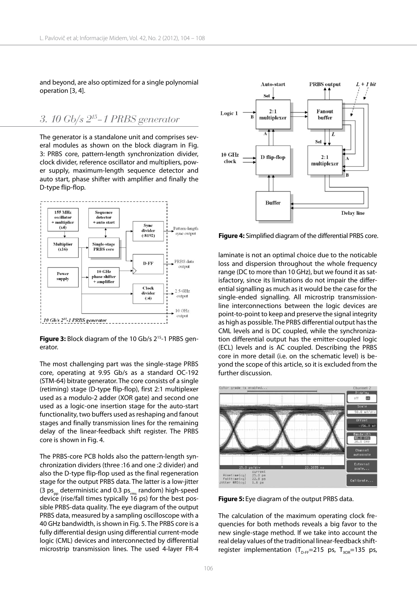and beyond, are also optimized for a single polynomial operation [3, 4].

#### *3. 10 Gb/s 215–1 PRBS generator*

The generator is a standalone unit and comprises several modules as shown on the block diagram in Fig. 3: PRBS core, pattern-length synchronization divider, clock divider, reference oscillator and multipliers, power supply, maximum-length sequence detector and auto start, phase shifter with amplifier and finally the D-type flip-flop.



Figure 3: Block diagram of the 10 Gb/s 2<sup>15</sup>-1 PRBS generator.

The most challenging part was the single-stage PRBS core, operating at 9.95 Gb/s as a standard OC-192 (STM-64) bitrate generator. The core consists of a single (retiming) stage (D-type flip-flop), first 2:1 multiplexer used as a modulo-2 adder (XOR gate) and second one used as a logic-one insertion stage for the auto-start functionality, two buffers used as reshaping and fanout stages and finally transmission lines for the remaining delay of the linear-feedback shift register. The PRBS core is shown in Fig. 4.

The PRBS-core PCB holds also the pattern-length synchronization dividers (three :16 and one :2 divider) and also the D-type flip-flop used as the final regeneration stage for the output PRBS data. The latter is a low-jitter (3  $ps_{\text{pn}}$  deterministic and 0.3  $ps_{\text{mn}}$  random) high-speed device (rise/fall times typically 16 ps) for the best possible PRBS-data quality. The eye diagram of the output PRBS data, measured by a sampling oscilloscope with a 40 GHz bandwidth, is shown in Fig. 5. The PRBS core is a fully differential design using differential current-mode logic (CML) devices and interconnected by differential microstrip transmission lines. The used 4-layer FR-4



**Figure 4:** Simplified diagram of the differential PRBS core.

laminate is not an optimal choice due to the noticable loss and dispersion throughout the whole frequency range (DC to more than 10 GHz), but we found it as satisfactory, since its limitations do not impair the differential signalling as much as it would be the case for the single-ended signalling. All microstrip transmissionline interconnections between the logic devices are point-to-point to keep and preserve the signal integrity as high as possible. The PRBS differential output has the CML levels and is DC coupled, while the synchronization differential output has the emitter-coupled logic (ECL) levels and is AC coupled. Describing the PRBS core in more detail (i.e. on the schematic level) is beyond the scope of this article, so it is excluded from the further discussion.



**Figure 5:** Eye diagram of the output PRBS data.

The calculation of the maximum operating clock frequencies for both methods reveals a big favor to the new single-stage method. If we take into account the real delay values of the traditional linear-feedback shiftregister implementation ( $T_{D-FF}$ =215 ps,  $T_{XOR}$ =135 ps,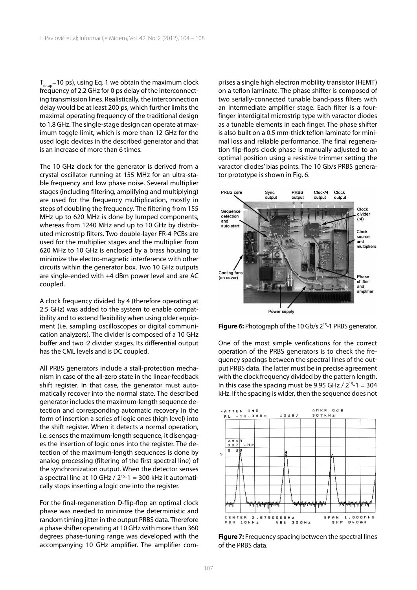$T_{\text{setun}}$ =10 ps), using Eq. 1 we obtain the maximum clock frequency of 2.2 GHz for 0 ps delay of the interconnecting transmission lines. Realistically, the interconnection delay would be at least 200 ps, which further limits the maximal operating frequency of the traditional design to 1.8 GHz. The single-stage design can operate at maximum toggle limit, which is more than 12 GHz for the used logic devices in the described generator and that is an increase of more than 6 times.

The 10 GHz clock for the generator is derived from a crystal oscillator running at 155 MHz for an ultra-stable frequency and low phase noise. Several multiplier stages (including filtering, amplifying and multiplying) are used for the frequency multiplication, mostly in steps of doubling the frequency. The filtering from 155 MHz up to 620 MHz is done by lumped components, whereas from 1240 MHz and up to 10 GHz by distributed microstrip filters. Two double-layer FR-4 PCBs are used for the multiplier stages and the multiplier from 620 MHz to 10 GHz is enclosed by a brass housing to minimize the electro-magnetic interference with other circuits within the generator box. Two 10 GHz outputs are single-ended with +4 dBm power level and are AC coupled.

A clock frequency divided by 4 (therefore operating at 2.5 GHz) was added to the system to enable compatibility and to extend flexibility when using older equipment (i.e. sampling oscilloscopes or digital communication analyzers). The divider is composed of a 10 GHz buffer and two :2 divider stages. Its differential output has the CML levels and is DC coupled.

All PRBS generators include a stall-protection mechanism in case of the all-zero state in the linear-feedback shift register. In that case, the generator must automatically recover into the normal state. The described generator includes the maximum-length sequence detection and corresponding automatic recovery in the form of insertion a series of logic ones (high level) into the shift register. When it detects a normal operation, i.e. senses the maximum-length sequence, it disengages the insertion of logic ones into the register. The detection of the maximum-length sequences is done by analog processing (filtering of the first spectral line) of the synchronization output. When the detector senses a spectral line at 10 GHz /  $2^{15}$ -1 = 300 kHz it automatically stops inserting a logic one into the register.

For the final-regeneration D-flip-flop an optimal clock phase was needed to minimize the deterministic and random timing jitter in the output PRBS data. Therefore a phase shifter operating at 10 GHz with more than 360 degrees phase-tuning range was developed with the accompanying 10 GHz amplifier. The amplifier comprises a single high electron mobility transistor (HEMT) on a teflon laminate. The phase shifter is composed of two serially-connected tunable band-pass filters with an intermediate amplifier stage. Each filter is a fourfinger interdigital microstrip type with varactor diodes as a tunable elements in each finger. The phase shifter is also built on a 0.5 mm-thick teflon laminate for minimal loss and reliable performance. The final regeneration flip-flop's clock phase is manually adjusted to an optimal position using a resistive trimmer setting the varactor diodes' bias points. The 10 Gb/s PRBS generator prototype is shown in Fig. 6.



**Figure 6:** Photograph of the 10 Gb/s 2<sup>15</sup>-1 PRBS generator.

One of the most simple verifications for the correct operation of the PRBS generators is to check the frequency spacings between the spectral lines of the output PRBS data. The latter must be in precise agreement with the clock frequency divided by the pattern length. In this case the spacing must be 9.95 GHz /  $2^{15}$ -1 = 304 kHz. If the spacing is wider, then the sequence does not



**Figure 7:** Frequency spacing between the spectral lines of the PRBS data.